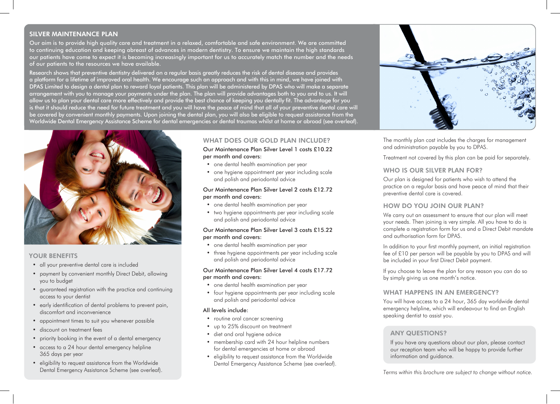# SILVER MAINTENANCE PLAN

Our aim is to provide high quality care and treatment in a relaxed, comfortable and safe environment. We are committed to continuing education and keeping abreast of advances in modern dentistry. To ensure we maintain the high standards our patients have come to expect it is becoming increasingly important for us to accurately match the number and the needs of our patients to the resources we have available.

Research shows that preventive dentistry delivered on a regular basis greatly reduces the risk of dental disease and provides a platform for a lifetime of improved oral health. We encourage such an approach and with this in mind, we have joined with DPAS Limited to design a dental plan to reward loyal patients. This plan will be administered by DPAS who will make a separate arrangement with you to manage your payments under the plan. The plan will provide advantages both to you and to us. It will allow us to plan your dental care more effectively and provide the best chance of keeping you dentally fit. The advantage for you is that it should reduce the need for future treatment and you will have the peace of mind that all of your preventive dental care will be covered by convenient monthly payments. Upon joining the dental plan, you will also be eligible to request assistance from the Worldwide Dental Emergency Assistance Scheme for dental emergencies or dental traumas whilst at home or abroad (see overleaf).



## YOUR BENEFITS

- all your preventive dental care is included
- payment by convenient monthly Direct Debit, allowing you to budget
- guaranteed registration with the practice and continuing access to your dentist
- early identification of dental problems to prevent pain, discomfort and inconvenience
- appointment times to suit you whenever possible
- discount on treatment fees
- priority booking in the event of a dental emergency
- access to a 24 hour dental emergency helpline 365 days per year
- eligibility to request assistance from the Worldwide Dental Emergency Assistance Scheme (see overleaf).

# WHAT DOES OUR GOLD PLAN INCLUDE?

Our Maintenance Plan Silver Level 1 costs £10.22 per month and covers:

- one dental health examination per year
- one hygiene appointment per year including scale and polish and periodontal advice

## Our Maintenance Plan Silver Level 2 costs £12.72 per month and covers:

- one dental health examination per year
- two hygiene appointments per year including scale and polish and periodontal advice

#### Our Maintenance Plan Silver Level 3 costs £15.22 per month and covers:

- one dental health examination per year
- three hygiene appointments per year including scale and polish and periodontal advice

#### Our Maintenance Plan Silver Level 4 costs £17.72 per month and covers:

- one dental health examination per year
- four hygiene appointments per year including scale and polish and periodontal advice

## All levels include:

- routine oral cancer screening
- up to 25% discount on treatment
- diet and oral hygiene advice
- membership card with 24 hour helpline numbers for dental emergencies at home or abroad
- eligibility to request assistance from the Worldwide Dental Emergency Assistance Scheme (see overleaf).



The monthly plan cost includes the charges for management and administration payable by you to DPAS.

Treatment not covered by this plan can be paid for separately.

## WHO IS OUR SILVER PLAN FOR?

Our plan is designed for patients who wish to attend the practice on a regular basis and have peace of mind that their preventive dental care is covered.

## HOW DO YOU JOIN OUR PLAN?

We carry out an assessment to ensure that our plan will meet your needs. Then joining is very simple. All you have to do is complete a registration form for us and a Direct Debit mandate and authorisation form for DPAS.

In addition to your first monthly payment, an initial registration fee of £10 per person will be payable by you to DPAS and will be included in your first Direct Debit payment.

If you choose to leave the plan for any reason you can do so by simply giving us one month's notice.

## WHAT HAPPENS IN AN EMERGENCY?

You will have access to a 24 hour, 365 day worldwide dental emergency helpline, which will endeavour to find an English speaking dentist to assist you.

## ANY QUESTIONS?

If you have any questions about our plan, please contact our reception team who will be happy to provide further information and guidance.

*Terms within this brochure are subject to change without notice.*